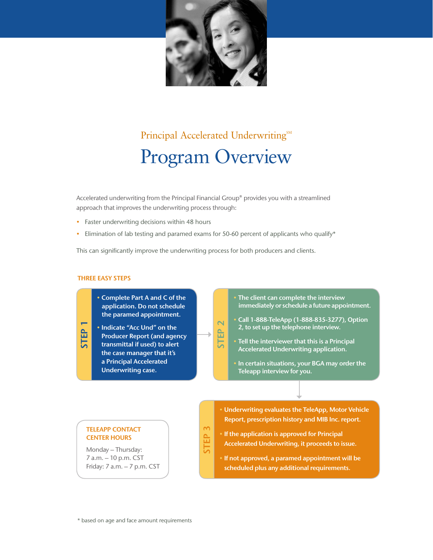

## Principal Accelerated Underwriting<sup>SM</sup> Program Overview

Accelerated underwriting from the Principal Financial Group® provides you with a streamlined approach that improves the underwriting process through:

- Faster underwriting decisions within 48 hours
- Elimination of lab testing and paramed exams for 50-60 percent of applicants who qualify\*

This can significantly improve the underwriting process for both producers and clients.

#### **THREE EASY STEPS**

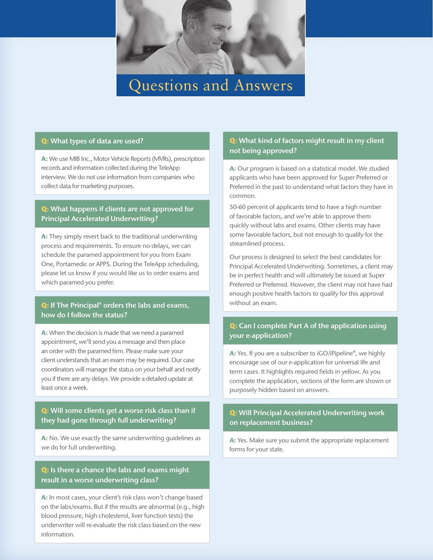## Questions and Answers

#### **Q: What types of data are used?**

**A:** We use MIB Inc., Motor Vehicle Reports (MVRs), prescription records and information collected during the TeleApp interview. We do not use information from companies who collect data for marketing purposes.

## **Q: What happens if clients are not approved for Principal Accelerated Underwriting?**

**A:** They simply revert back to the traditional underwriting process and requirements. To ensure no delays, we can schedule the paramed appointment for you from Exam One, Portamedic or APPS. During the TeleApp scheduling, please let us know if you would like us to order exams and which paramed you prefer.

## **Q: If The Principal® orders the labs and exams, how do I follow the status?**

**A:** When the decision is made that we need a paramed appointment, we'll send you a message and then place an order with the paramed firm. Please make sure your client understands that an exam may be required. Our case coordinators will manage the status on your behalf and notify you if there are any delays. We provide a detailed update at least once a week.

## **Q: Will some clients get a worse risk class than if they had gone through full underwriting?**

**A:** No. We use exactly the same underwriting guidelines as we do for full underwriting.

## **Q: Is there a chance the labs and exams might result in a worse underwriting class?**

**A:** In most cases, your client's risk class won't change based on the labs/exams. But if the results are abnormal (e.g., high blood pressure, high cholesterol, liver function tests) the underwriter will re-evaluate the risk class based on the new information.

## **Q: What kind of factors might result in my client not being approved?**

**A:** Our program is based on a statistical model. We studied applicants who have been approved for Super Preferred or Preferred in the past to understand what factors they have in common.

50-60 percent of applicants tend to have a high number of favorable factors, and we're able to approve them quickly without labs and exams. Other clients may have some favorable factors, but not enough to qualify for the streamlined process.

Our process is designed to select the best candidates for Principal Accelerated Underwriting. Sometimes, a client may be in perfect health and will ultimately be issued at Super Preferred or Preferred. However, the client may not have had enough positive health factors to qualify for this approval without an exam.

## **Q: Can I complete Part A of the application using your e-application?**

**A:** Yes. If you are a subscriber to iGO/iPipeline®, we highly encourage use of our e-application for universal life and term cases. It highlights required fields in yellow. As you complete the application, sections of the form are shown or purposely hidden based on answers.

## **Q: Will Principal Accelerated Underwriting work on replacement business?**

**A:** Yes. Make sure you submit the appropriate replacement forms for your state.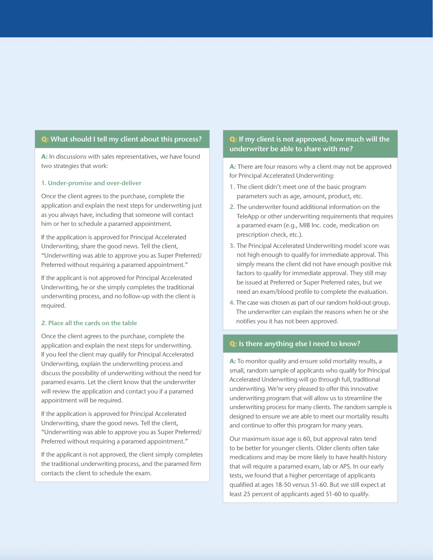#### **Q: What should I tell my client about this process?**

**A:** In discussions with sales representatives, we have found two strategies that work:

#### **1. Under-promise and over-deliver**

Once the client agrees to the purchase, complete the application and explain the next steps for underwriting just as you always have, including that someone will contact him or her to schedule a paramed appointment.

If the application is approved for Principal Accelerated Underwriting, share the good news. Tell the client, "Underwriting was able to approve you as Super Preferred/ Preferred without requiring a paramed appointment."

If the applicant is not approved for Principal Accelerated Underwriting, he or she simply completes the traditional underwriting process, and no follow-up with the client is required.

#### **2. Place all the cards on the table**

Once the client agrees to the purchase, complete the application and explain the next steps for underwriting. If you feel the client may qualify for Principal Accelerated Underwriting, explain the underwriting process and discuss the possibility of underwriting without the need for paramed exams. Let the client know that the underwriter will review the application and contact you if a paramed appointment will be required.

If the application is approved for Principal Accelerated Underwriting, share the good news. Tell the client, "Underwriting was able to approve you as Super Preferred/ Preferred without requiring a paramed appointment."

If the applicant is not approved, the client simply completes the traditional underwriting process, and the paramed firm contacts the client to schedule the exam.

## **Q: If my client is not approved, how much will the underwriter be able to share with me?**

**A:** There are four reasons why a client may not be approved for Principal Accelerated Underwriting:

- **1.** The client didn't meet one of the basic program parameters such as age, amount, product, etc.
- **2.** The underwriter found additional information on the TeleApp or other underwriting requirements that requires a paramed exam (e.g., MIB Inc. code, medication on prescription check, etc.).
- **3.** The Principal Accelerated Underwriting model score was not high enough to qualify for immediate approval. This simply means the client did not have enough positive risk factors to qualify for immediate approval. They still may be issued at Preferred or Super Preferred rates, but we need an exam/blood profile to complete the evaluation.
- **4.** The case was chosen as part of our random hold-out group. The underwriter can explain the reasons when he or she notifies you it has not been approved.

#### **Q: Is there anything else I need to know?**

**A:** To monitor quality and ensure solid mortality results, a small, random sample of applicants who qualify for Principal Accelerated Underwriting will go through full, traditional underwriting. We're very pleased to offer this innovative underwriting program that will allow us to streamline the underwriting process for many clients. The random sample is designed to ensure we are able to meet our mortality results and continue to offer this program for many years.

Our maximum issue age is 60, but approval rates tend to be better for younger clients. Older clients often take medications and may be more likely to have health history that will require a paramed exam, lab or APS. In our early tests, we found that a higher percentage of applicants qualified at ages 18-50 versus 51-60. But we still expect at least 25 percent of applicants aged 51-60 to qualify.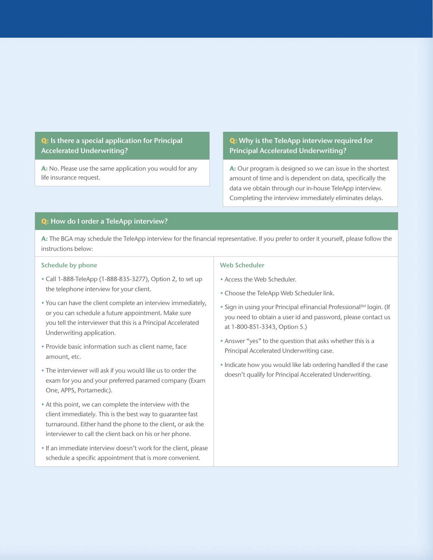## **Q: Is there a special application for Principal Accelerated Underwriting?**

**A:** No. Please use the same application you would for any life insurance request.

## **Q: Why is the TeleApp interview required for Principal Accelerated Underwriting?**

**A:** Our program is designed so we can issue in the shortest amount of time and is dependent on data, specifically the data we obtain through our in-house TeleApp interview. Completing the interview immediately eliminates delays.

## **Q: How do I order a TeleApp interview?**

**A:** The BGA may schedule the TeleApp interview for the financial representative. If you prefer to order it yourself, please follow the instructions below:

#### **Schedule by phone**

- Call 1-888-TeleApp (1-888-835-3277), Option 2, to set up the telephone interview for your client.
- You can have the client complete an interview immediately, or you can schedule a future appointment. Make sure you tell the interviewer that this is a Principal Accelerated Underwriting application.
- Provide basic information such as client name, face amount, etc.
- The interviewer will ask if you would like us to order the exam for you and your preferred paramed company (Exam One, APPS, Portamedic).
- At this point, we can complete the interview with the client immediately. This is the best way to guarantee fast turnaround. Either hand the phone to the client, or ask the interviewer to call the client back on his or her phone.
- If an immediate interview doesn't work for the client, please schedule a specific appointment that is more convenient.

#### **Web Scheduler**

- Access the Web Scheduler.
- Choose the TeleApp Web Scheduler link.
- Sign in using your Principal eFinancial Professional<sup>SM</sup> login. (If you need to obtain a user id and password, please contact us at 1-800-851-3343, Option 5.)
- Answer "yes" to the question that asks whether this is a Principal Accelerated Underwriting case.
- Indicate how you would like lab ordering handled if the case doesn't qualify for Principal Accelerated Underwriting.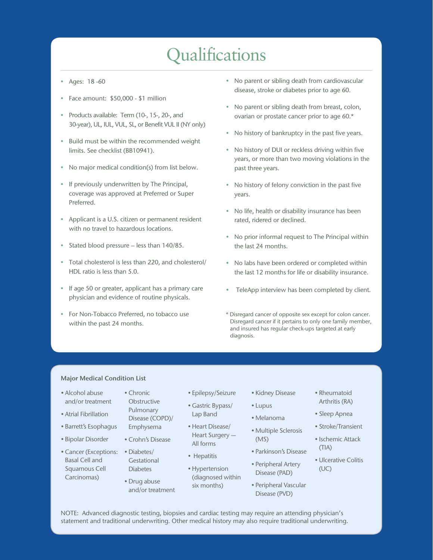# Qualifications

- Ages: 18 -60
- Face amount: \$50,000 \$1 million
- Products available: Term (10-, 15-, 20-, and 30-year), UL, IUL, VUL, SL, or Benefit VUL II (NY only)
- Build must be within the recommended weight limits. See checklist (BB10941).
- No major medical condition(s) from list below.
- If previously underwritten by The Principal, coverage was approved at Preferred or Super Preferred.
- Applicant is a U.S. citizen or permanent resident with no travel to hazardous locations.
- Stated blood pressure less than 140/85.
- Total cholesterol is less than 220, and cholesterol/ HDL ratio is less than 5.0.
- If age 50 or greater, applicant has a primary care physician and evidence of routine physicals.

**•** Chronic **Obstructive** Pulmonary Disease (COPD)/ Emphysema

• For Non-Tobacco Preferred, no tobacco use within the past 24 months.

- No parent or sibling death from cardiovascular disease, stroke or diabetes prior to age 60.
- No parent or sibling death from breast, colon, ovarian or prostate cancer prior to age 60.\*
- No history of bankruptcy in the past five years.
- No history of DUI or reckless driving within five years, or more than two moving violations in the past three years.
- No history of felony conviction in the past five years.
- No life, health or disability insurance has been rated, ridered or declined.
- No prior informal request to The Principal within the last 24 months.
- No labs have been ordered or completed within the last 12 months for life or disability insurance.
- TeleApp interview has been completed by client.
- \* Disregard cancer of opposite sex except for colon cancer. Disregard cancer if it pertains to only one family member, and insured has regular check-ups targeted at early diagnosis.

#### **Major Medical Condition List**

- **•** Alcohol abuse and/or treatment
- **•** Atrial Fibrillation
- **•** Barrett's Esophagus
- **•** Bipolar Disorder
- **•** Cancer (Exceptions: Basal Cell and Squamous Cell Carcinomas)
- **•** Epilepsy/Seizure
	- **•** Gastric Bypass/ Lap Band
	- **•** Heart Disease/ Heart Surgery — All forms
	- **•**  Hepatitis
	- **•** Hypertension (diagnosed within six months)
- **•** Kidney Disease
- **•** Lupus
- **•** Melanoma
- **•** Multiple Sclerosis (MS)
- **•** Parkinson's Disease
- **•** Peripheral Artery Disease (PAD)
- **•** Peripheral Vascular Disease (PVD)
- **•** Rheumatoid Arthritis (RA)
- **•** Sleep Apnea
- **•** Stroke/Transient
- **•** Ischemic Attack (TIA)
- **•** Ulcerative Colitis (UC)

NOTE: Advanced diagnostic testing, biopsies and cardiac testing may require an attending physician's statement and traditional underwriting. Other medical history may also require traditional underwriting.

- **•** Crohn's Disease
- Gestational **Diabetes**
- **•** Drug abuse and/or treatment
- **•** Diabetes/
	-
- -
	-